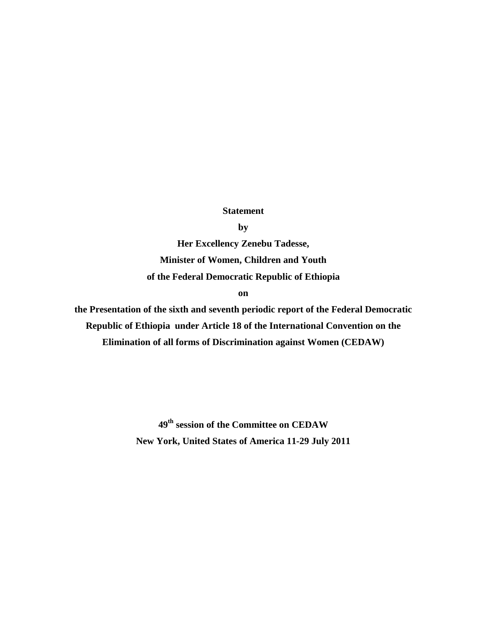**Statement** 

**by** 

**Her Excellency Zenebu Tadesse, Minister of Women, Children and Youth of the Federal Democratic Republic of Ethiopia** 

**on** 

**the Presentation of the sixth and seventh periodic report of the Federal Democratic Republic of Ethiopia under Article 18 of the International Convention on the Elimination of all forms of Discrimination against Women (CEDAW)** 

> **49th session of the Committee on CEDAW New York, United States of America 11-29 July 2011**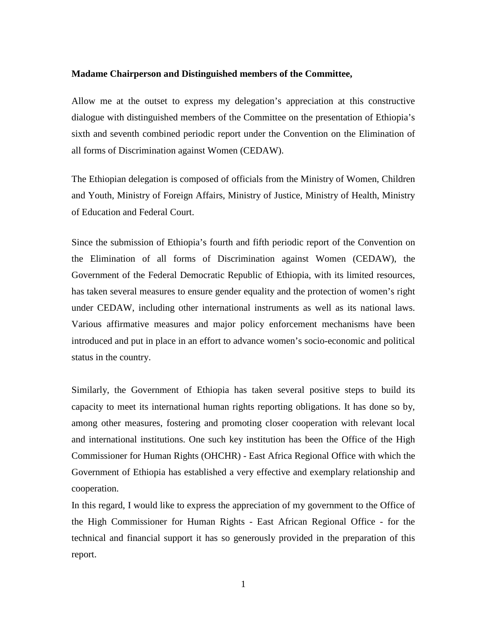## **Madame Chairperson and Distinguished members of the Committee,**

Allow me at the outset to express my delegation's appreciation at this constructive dialogue with distinguished members of the Committee on the presentation of Ethiopia's sixth and seventh combined periodic report under the Convention on the Elimination of all forms of Discrimination against Women (CEDAW).

The Ethiopian delegation is composed of officials from the Ministry of Women, Children and Youth, Ministry of Foreign Affairs, Ministry of Justice, Ministry of Health, Ministry of Education and Federal Court.

Since the submission of Ethiopia's fourth and fifth periodic report of the Convention on the Elimination of all forms of Discrimination against Women (CEDAW), the Government of the Federal Democratic Republic of Ethiopia, with its limited resources, has taken several measures to ensure gender equality and the protection of women's right under CEDAW, including other international instruments as well as its national laws. Various affirmative measures and major policy enforcement mechanisms have been introduced and put in place in an effort to advance women's socio-economic and political status in the country.

Similarly, the Government of Ethiopia has taken several positive steps to build its capacity to meet its international human rights reporting obligations. It has done so by, among other measures, fostering and promoting closer cooperation with relevant local and international institutions. One such key institution has been the Office of the High Commissioner for Human Rights (OHCHR) - East Africa Regional Office with which the Government of Ethiopia has established a very effective and exemplary relationship and cooperation.

In this regard, I would like to express the appreciation of my government to the Office of the High Commissioner for Human Rights - East African Regional Office - for the technical and financial support it has so generously provided in the preparation of this report.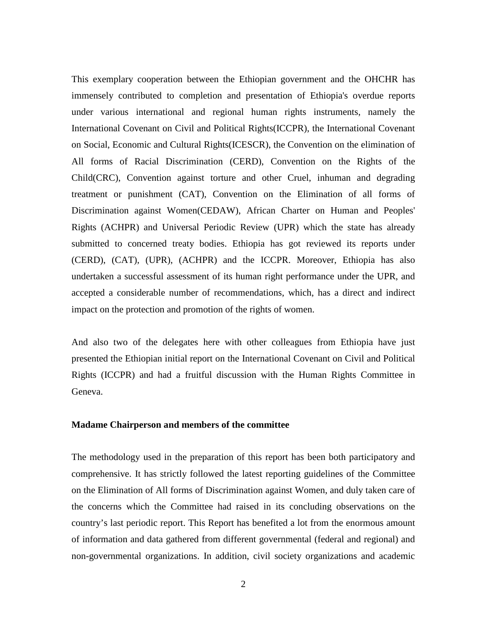This exemplary cooperation between the Ethiopian government and the OHCHR has immensely contributed to completion and presentation of Ethiopia's overdue reports under various international and regional human rights instruments, namely the International Covenant on Civil and Political Rights(ICCPR), the International Covenant on Social, Economic and Cultural Rights(ICESCR), the Convention on the elimination of All forms of Racial Discrimination (CERD), Convention on the Rights of the Child(CRC), Convention against torture and other Cruel, inhuman and degrading treatment or punishment (CAT), Convention on the Elimination of all forms of Discrimination against Women(CEDAW), African Charter on Human and Peoples' Rights (ACHPR) and Universal Periodic Review (UPR) which the state has already submitted to concerned treaty bodies. Ethiopia has got reviewed its reports under (CERD), (CAT), (UPR), (ACHPR) and the ICCPR. Moreover, Ethiopia has also undertaken a successful assessment of its human right performance under the UPR, and accepted a considerable number of recommendations, which, has a direct and indirect impact on the protection and promotion of the rights of women.

And also two of the delegates here with other colleagues from Ethiopia have just presented the Ethiopian initial report on the International Covenant on Civil and Political Rights (ICCPR) and had a fruitful discussion with the Human Rights Committee in Geneva.

## **Madame Chairperson and members of the committee**

The methodology used in the preparation of this report has been both participatory and comprehensive. It has strictly followed the latest reporting guidelines of the Committee on the Elimination of All forms of Discrimination against Women, and duly taken care of the concerns which the Committee had raised in its concluding observations on the country's last periodic report. This Report has benefited a lot from the enormous amount of information and data gathered from different governmental (federal and regional) and non-governmental organizations. In addition, civil society organizations and academic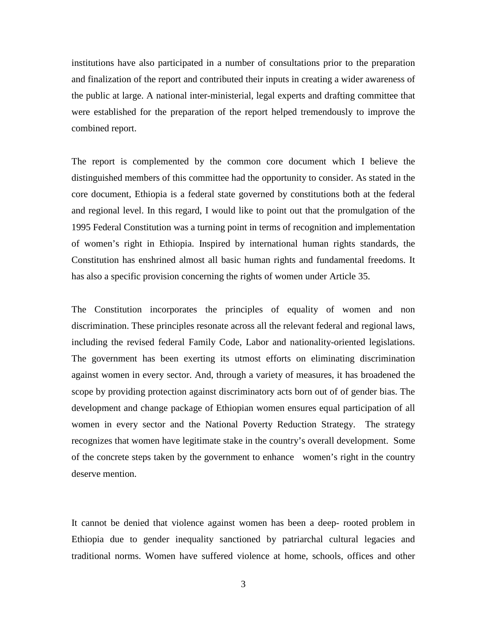institutions have also participated in a number of consultations prior to the preparation and finalization of the report and contributed their inputs in creating a wider awareness of the public at large. A national inter-ministerial, legal experts and drafting committee that were established for the preparation of the report helped tremendously to improve the combined report.

The report is complemented by the common core document which I believe the distinguished members of this committee had the opportunity to consider. As stated in the core document, Ethiopia is a federal state governed by constitutions both at the federal and regional level. In this regard, I would like to point out that the promulgation of the 1995 Federal Constitution was a turning point in terms of recognition and implementation of women's right in Ethiopia. Inspired by international human rights standards, the Constitution has enshrined almost all basic human rights and fundamental freedoms. It has also a specific provision concerning the rights of women under Article 35.

The Constitution incorporates the principles of equality of women and non discrimination. These principles resonate across all the relevant federal and regional laws, including the revised federal Family Code, Labor and nationality-oriented legislations. The government has been exerting its utmost efforts on eliminating discrimination against women in every sector. And, through a variety of measures, it has broadened the scope by providing protection against discriminatory acts born out of of gender bias. The development and change package of Ethiopian women ensures equal participation of all women in every sector and the National Poverty Reduction Strategy. The strategy recognizes that women have legitimate stake in the country's overall development. Some of the concrete steps taken by the government to enhance women's right in the country deserve mention.

It cannot be denied that violence against women has been a deep- rooted problem in Ethiopia due to gender inequality sanctioned by patriarchal cultural legacies and traditional norms. Women have suffered violence at home, schools, offices and other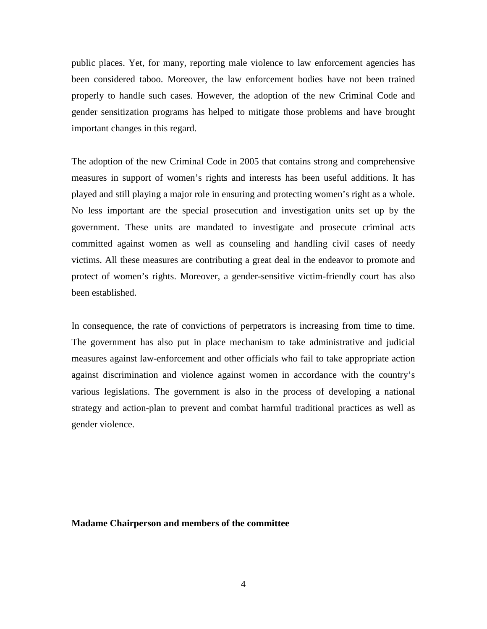public places. Yet, for many, reporting male violence to law enforcement agencies has been considered taboo. Moreover, the law enforcement bodies have not been trained properly to handle such cases. However, the adoption of the new Criminal Code and gender sensitization programs has helped to mitigate those problems and have brought important changes in this regard.

The adoption of the new Criminal Code in 2005 that contains strong and comprehensive measures in support of women's rights and interests has been useful additions. It has played and still playing a major role in ensuring and protecting women's right as a whole. No less important are the special prosecution and investigation units set up by the government. These units are mandated to investigate and prosecute criminal acts committed against women as well as counseling and handling civil cases of needy victims. All these measures are contributing a great deal in the endeavor to promote and protect of women's rights. Moreover, a gender-sensitive victim-friendly court has also been established.

In consequence, the rate of convictions of perpetrators is increasing from time to time. The government has also put in place mechanism to take administrative and judicial measures against law-enforcement and other officials who fail to take appropriate action against discrimination and violence against women in accordance with the country's various legislations. The government is also in the process of developing a national strategy and action-plan to prevent and combat harmful traditional practices as well as gender violence.

### **Madame Chairperson and members of the committee**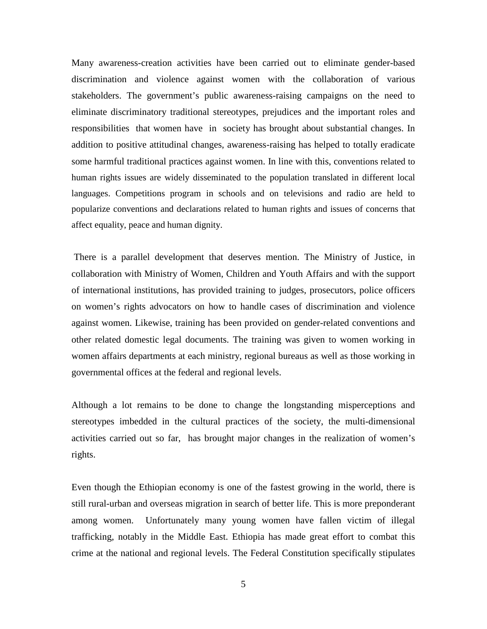Many awareness-creation activities have been carried out to eliminate gender-based discrimination and violence against women with the collaboration of various stakeholders. The government's public awareness-raising campaigns on the need to eliminate discriminatory traditional stereotypes, prejudices and the important roles and responsibilities that women have in society has brought about substantial changes. In addition to positive attitudinal changes, awareness-raising has helped to totally eradicate some harmful traditional practices against women. In line with this, conventions related to human rights issues are widely disseminated to the population translated in different local languages. Competitions program in schools and on televisions and radio are held to popularize conventions and declarations related to human rights and issues of concerns that affect equality, peace and human dignity.

 There is a parallel development that deserves mention. The Ministry of Justice, in collaboration with Ministry of Women, Children and Youth Affairs and with the support of international institutions, has provided training to judges, prosecutors, police officers on women's rights advocators on how to handle cases of discrimination and violence against women. Likewise, training has been provided on gender-related conventions and other related domestic legal documents. The training was given to women working in women affairs departments at each ministry, regional bureaus as well as those working in governmental offices at the federal and regional levels.

Although a lot remains to be done to change the longstanding misperceptions and stereotypes imbedded in the cultural practices of the society, the multi-dimensional activities carried out so far, has brought major changes in the realization of women's rights.

Even though the Ethiopian economy is one of the fastest growing in the world, there is still rural-urban and overseas migration in search of better life. This is more preponderant among women. Unfortunately many young women have fallen victim of illegal trafficking, notably in the Middle East. Ethiopia has made great effort to combat this crime at the national and regional levels. The Federal Constitution specifically stipulates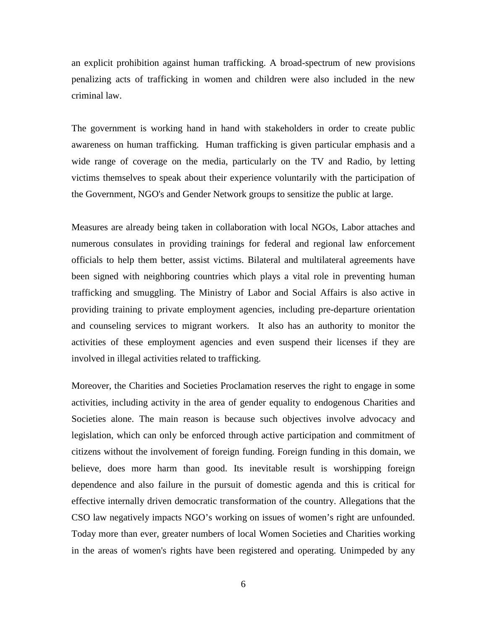an explicit prohibition against human trafficking. A broad-spectrum of new provisions penalizing acts of trafficking in women and children were also included in the new criminal law.

The government is working hand in hand with stakeholders in order to create public awareness on human trafficking. Human trafficking is given particular emphasis and a wide range of coverage on the media, particularly on the TV and Radio, by letting victims themselves to speak about their experience voluntarily with the participation of the Government, NGO's and Gender Network groups to sensitize the public at large.

Measures are already being taken in collaboration with local NGOs, Labor attaches and numerous consulates in providing trainings for federal and regional law enforcement officials to help them better, assist victims. Bilateral and multilateral agreements have been signed with neighboring countries which plays a vital role in preventing human trafficking and smuggling. The Ministry of Labor and Social Affairs is also active in providing training to private employment agencies, including pre-departure orientation and counseling services to migrant workers. It also has an authority to monitor the activities of these employment agencies and even suspend their licenses if they are involved in illegal activities related to trafficking.

Moreover, the Charities and Societies Proclamation reserves the right to engage in some activities, including activity in the area of gender equality to endogenous Charities and Societies alone. The main reason is because such objectives involve advocacy and legislation, which can only be enforced through active participation and commitment of citizens without the involvement of foreign funding. Foreign funding in this domain, we believe, does more harm than good. Its inevitable result is worshipping foreign dependence and also failure in the pursuit of domestic agenda and this is critical for effective internally driven democratic transformation of the country. Allegations that the CSO law negatively impacts NGO's working on issues of women's right are unfounded. Today more than ever, greater numbers of local Women Societies and Charities working in the areas of women's rights have been registered and operating. Unimpeded by any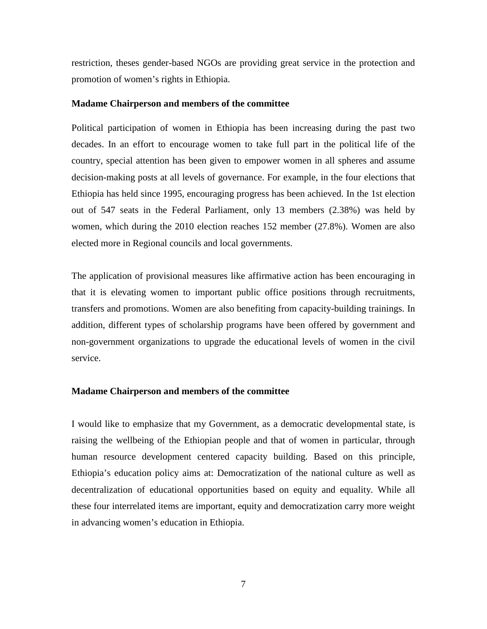restriction, theses gender-based NGOs are providing great service in the protection and promotion of women's rights in Ethiopia.

## **Madame Chairperson and members of the committee**

Political participation of women in Ethiopia has been increasing during the past two decades. In an effort to encourage women to take full part in the political life of the country, special attention has been given to empower women in all spheres and assume decision-making posts at all levels of governance. For example, in the four elections that Ethiopia has held since 1995, encouraging progress has been achieved. In the 1st election out of 547 seats in the Federal Parliament, only 13 members (2.38%) was held by women, which during the 2010 election reaches 152 member (27.8%). Women are also elected more in Regional councils and local governments.

The application of provisional measures like affirmative action has been encouraging in that it is elevating women to important public office positions through recruitments, transfers and promotions. Women are also benefiting from capacity-building trainings. In addition, different types of scholarship programs have been offered by government and non-government organizations to upgrade the educational levels of women in the civil service.

# **Madame Chairperson and members of the committee**

I would like to emphasize that my Government, as a democratic developmental state, is raising the wellbeing of the Ethiopian people and that of women in particular, through human resource development centered capacity building. Based on this principle, Ethiopia's education policy aims at: Democratization of the national culture as well as decentralization of educational opportunities based on equity and equality. While all these four interrelated items are important, equity and democratization carry more weight in advancing women's education in Ethiopia.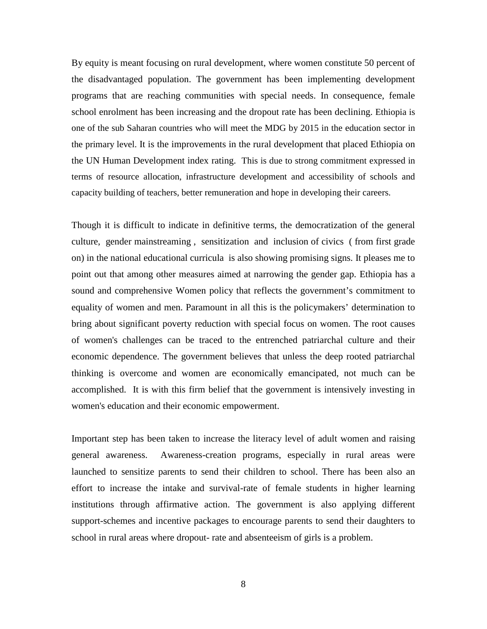By equity is meant focusing on rural development, where women constitute 50 percent of the disadvantaged population. The government has been implementing development programs that are reaching communities with special needs. In consequence, female school enrolment has been increasing and the dropout rate has been declining. Ethiopia is one of the sub Saharan countries who will meet the MDG by 2015 in the education sector in the primary level. It is the improvements in the rural development that placed Ethiopia on the UN Human Development index rating. This is due to strong commitment expressed in terms of resource allocation, infrastructure development and accessibility of schools and capacity building of teachers, better remuneration and hope in developing their careers.

Though it is difficult to indicate in definitive terms, the democratization of the general culture, gender mainstreaming , sensitization and inclusion of civics ( from first grade on) in the national educational curricula is also showing promising signs. It pleases me to point out that among other measures aimed at narrowing the gender gap. Ethiopia has a sound and comprehensive Women policy that reflects the government's commitment to equality of women and men. Paramount in all this is the policymakers' determination to bring about significant poverty reduction with special focus on women. The root causes of women's challenges can be traced to the entrenched patriarchal culture and their economic dependence. The government believes that unless the deep rooted patriarchal thinking is overcome and women are economically emancipated, not much can be accomplished. It is with this firm belief that the government is intensively investing in women's education and their economic empowerment.

Important step has been taken to increase the literacy level of adult women and raising general awareness. Awareness-creation programs, especially in rural areas were launched to sensitize parents to send their children to school. There has been also an effort to increase the intake and survival-rate of female students in higher learning institutions through affirmative action. The government is also applying different support-schemes and incentive packages to encourage parents to send their daughters to school in rural areas where dropout- rate and absenteeism of girls is a problem.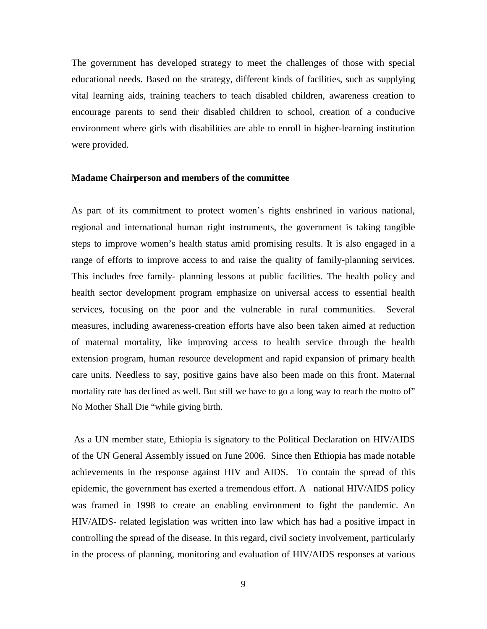The government has developed strategy to meet the challenges of those with special educational needs. Based on the strategy, different kinds of facilities, such as supplying vital learning aids, training teachers to teach disabled children, awareness creation to encourage parents to send their disabled children to school, creation of a conducive environment where girls with disabilities are able to enroll in higher-learning institution were provided.

#### **Madame Chairperson and members of the committee**

As part of its commitment to protect women's rights enshrined in various national, regional and international human right instruments, the government is taking tangible steps to improve women's health status amid promising results. It is also engaged in a range of efforts to improve access to and raise the quality of family-planning services. This includes free family- planning lessons at public facilities. The health policy and health sector development program emphasize on universal access to essential health services, focusing on the poor and the vulnerable in rural communities. Several measures, including awareness-creation efforts have also been taken aimed at reduction of maternal mortality, like improving access to health service through the health extension program, human resource development and rapid expansion of primary health care units. Needless to say, positive gains have also been made on this front. Maternal mortality rate has declined as well. But still we have to go a long way to reach the motto of" No Mother Shall Die "while giving birth.

 As a UN member state, Ethiopia is signatory to the Political Declaration on HIV/AIDS of the UN General Assembly issued on June 2006. Since then Ethiopia has made notable achievements in the response against HIV and AIDS. To contain the spread of this epidemic, the government has exerted a tremendous effort. A national HIV/AIDS policy was framed in 1998 to create an enabling environment to fight the pandemic. An HIV/AIDS- related legislation was written into law which has had a positive impact in controlling the spread of the disease. In this regard, civil society involvement, particularly in the process of planning, monitoring and evaluation of HIV/AIDS responses at various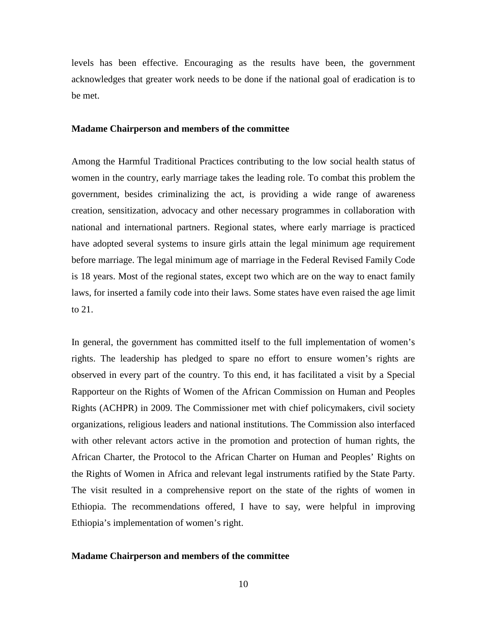levels has been effective. Encouraging as the results have been, the government acknowledges that greater work needs to be done if the national goal of eradication is to be met.

## **Madame Chairperson and members of the committee**

Among the Harmful Traditional Practices contributing to the low social health status of women in the country, early marriage takes the leading role. To combat this problem the government, besides criminalizing the act, is providing a wide range of awareness creation, sensitization, advocacy and other necessary programmes in collaboration with national and international partners. Regional states, where early marriage is practiced have adopted several systems to insure girls attain the legal minimum age requirement before marriage. The legal minimum age of marriage in the Federal Revised Family Code is 18 years. Most of the regional states, except two which are on the way to enact family laws, for inserted a family code into their laws. Some states have even raised the age limit to 21.

In general, the government has committed itself to the full implementation of women's rights. The leadership has pledged to spare no effort to ensure women's rights are observed in every part of the country. To this end, it has facilitated a visit by a Special Rapporteur on the Rights of Women of the African Commission on Human and Peoples Rights (ACHPR) in 2009. The Commissioner met with chief policymakers, civil society organizations, religious leaders and national institutions. The Commission also interfaced with other relevant actors active in the promotion and protection of human rights, the African Charter, the Protocol to the African Charter on Human and Peoples' Rights on the Rights of Women in Africa and relevant legal instruments ratified by the State Party. The visit resulted in a comprehensive report on the state of the rights of women in Ethiopia. The recommendations offered, I have to say, were helpful in improving Ethiopia's implementation of women's right.

## **Madame Chairperson and members of the committee**